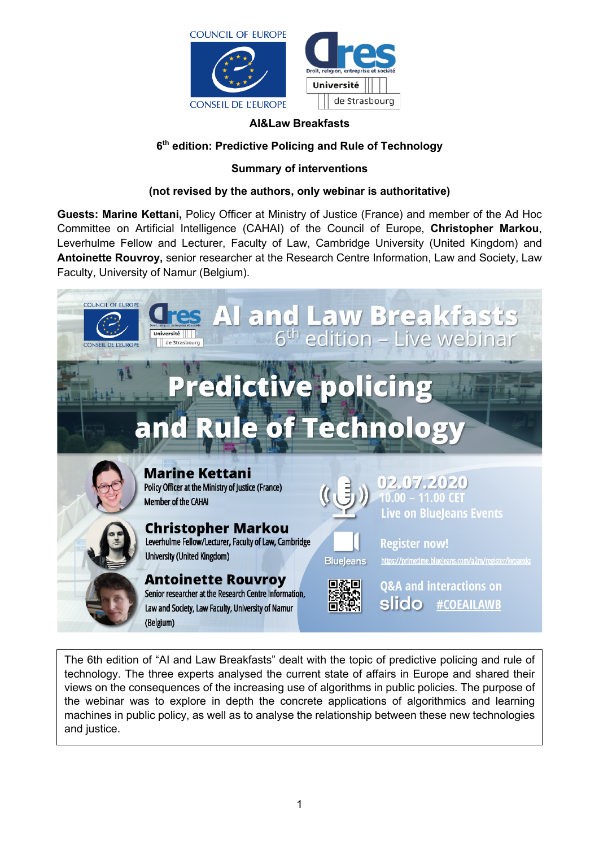

### **AI&Law Breakfasts**

### **6th edition: Predictive Policing and Rule of Technology**

### **Summary of interventions**

### **(not revised by the authors, only webinar is authoritative)**

**Guests: Marine Kettani,** Policy Officer at Ministry of Justice (France) and member of the Ad Hoc Committee on Artificial Intelligence (CAHAI) of the Council of Europe, **Christopher Markou**, Leverhulme Fellow and Lecturer, Faculty of Law, Cambridge University (United Kingdom) and **Antoinette Rouvroy,** senior researcher at the Research Centre Information, Law and Society, Law Faculty, University of Namur (Belgium).



The 6th edition of "AI and Law Breakfasts" dealt with the topic of predictive policing and rule of technology. The three experts analysed the current state of affairs in Europe and shared their views on the consequences of the increasing use of algorithms in public policies. The purpose of the webinar was to explore in depth the concrete applications of algorithmics and learning machines in public policy, as well as to analyse the relationship between these new technologies and justice.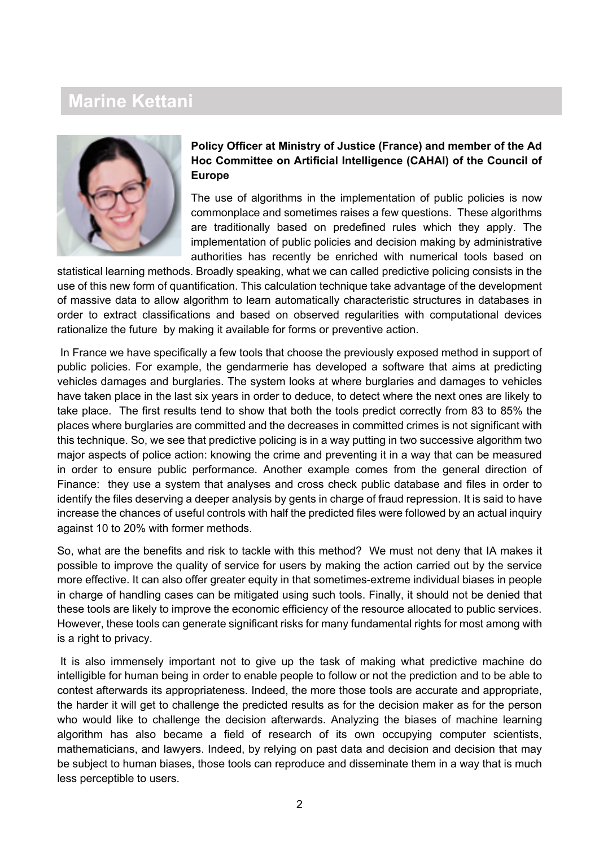# **Marine Kettani**



**Policy Officer at Ministry of Justice (France) and member of the Ad Hoc Committee on Artificial Intelligence (CAHAI) of the Council of Europe**

The use of algorithms in the implementation of public policies is now commonplace and sometimes raises a few questions. These algorithms are traditionally based on predefined rules which they apply. The implementation of public policies and decision making by administrative authorities has recently be enriched with numerical tools based on

statistical learning methods. Broadly speaking, what we can called predictive policing consists in the use of this new form of quantification. This calculation technique take advantage of the development of massive data to allow algorithm to learn automatically characteristic structures in databases in order to extract classifications and based on observed regularities with computational devices rationalize the future by making it available for forms or preventive action.

In France we have specifically a few tools that choose the previously exposed method in support of public policies. For example, the gendarmerie has developed a software that aims at predicting vehicles damages and burglaries. The system looks at where burglaries and damages to vehicles have taken place in the last six years in order to deduce, to detect where the next ones are likely to take place. The first results tend to show that both the tools predict correctly from 83 to 85% the places where burglaries are committed and the decreases in committed crimes is not significant with this technique. So, we see that predictive policing is in a way putting in two successive algorithm two major aspects of police action: knowing the crime and preventing it in a way that can be measured in order to ensure public performance. Another example comes from the general direction of Finance: they use a system that analyses and cross check public database and files in order to identify the files deserving a deeper analysis by gents in charge of fraud repression. It is said to have increase the chances of useful controls with half the predicted files were followed by an actual inquiry against 10 to 20% with former methods.

So, what are the benefits and risk to tackle with this method? We must not deny that IA makes it possible to improve the quality of service for users by making the action carried out by the service more effective. It can also offer greater equity in that sometimes-extreme individual biases in people in charge of handling cases can be mitigated using such tools. Finally, it should not be denied that these tools are likely to improve the economic efficiency of the resource allocated to public services. However, these tools can generate significant risks for many fundamental rights for most among with is a right to privacy.

It is also immensely important not to give up the task of making what predictive machine do intelligible for human being in order to enable people to follow or not the prediction and to be able to contest afterwards its appropriateness. Indeed, the more those tools are accurate and appropriate, the harder it will get to challenge the predicted results as for the decision maker as for the person who would like to challenge the decision afterwards. Analyzing the biases of machine learning algorithm has also became a field of research of its own occupying computer scientists, mathematicians, and lawyers. Indeed, by relying on past data and decision and decision that may be subject to human biases, those tools can reproduce and disseminate them in a way that is much less perceptible to users.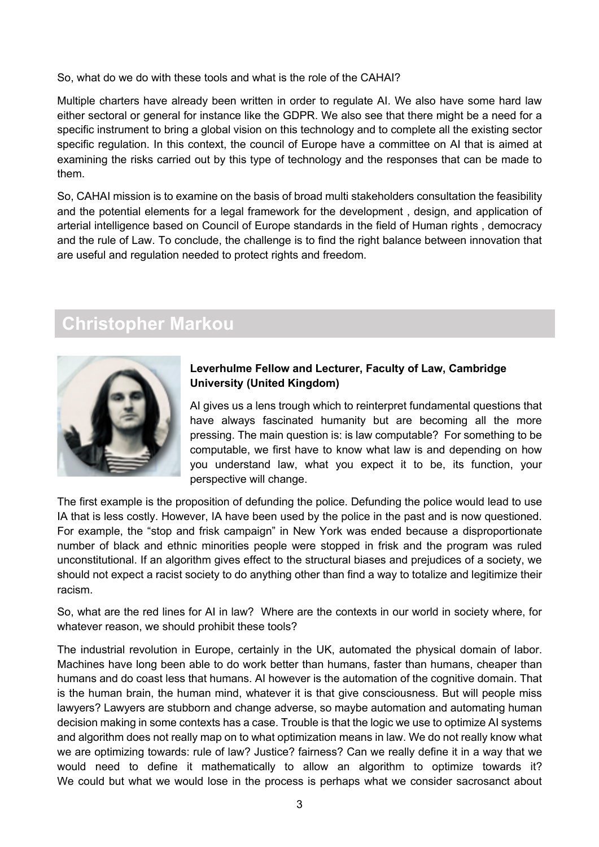So, what do we do with these tools and what is the role of the CAHAI?

Multiple charters have already been written in order to regulate AI. We also have some hard law either sectoral or general for instance like the GDPR. We also see that there might be a need for a specific instrument to bring a global vision on this technology and to complete all the existing sector specific regulation. In this context, the council of Europe have a committee on AI that is aimed at examining the risks carried out by this type of technology and the responses that can be made to them.

So, CAHAI mission is to examine on the basis of broad multi stakeholders consultation the feasibility and the potential elements for a legal framework for the development , design, and application of arterial intelligence based on Council of Europe standards in the field of Human rights , democracy and the rule of Law. To conclude, the challenge is to find the right balance between innovation that are useful and regulation needed to protect rights and freedom.

# **Christopher Markou**



### **Leverhulme Fellow and Lecturer, Faculty of Law, Cambridge University (United Kingdom)**

AI gives us a lens trough which to reinterpret fundamental questions that have always fascinated humanity but are becoming all the more pressing. The main question is: is law computable? For something to be computable, we first have to know what law is and depending on how you understand law, what you expect it to be, its function, your perspective will change.

The first example is the proposition of defunding the police. Defunding the police would lead to use IA that is less costly. However, IA have been used by the police in the past and is now questioned. For example, the "stop and frisk campaign" in New York was ended because a disproportionate number of black and ethnic minorities people were stopped in frisk and the program was ruled unconstitutional. If an algorithm gives effect to the structural biases and prejudices of a society, we should not expect a racist society to do anything other than find a way to totalize and legitimize their racism.

So, what are the red lines for AI in law? Where are the contexts in our world in society where, for whatever reason, we should prohibit these tools?

The industrial revolution in Europe, certainly in the UK, automated the physical domain of labor. Machines have long been able to do work better than humans, faster than humans, cheaper than humans and do coast less that humans. AI however is the automation of the cognitive domain. That is the human brain, the human mind, whatever it is that give consciousness. But will people miss lawyers? Lawyers are stubborn and change adverse, so maybe automation and automating human decision making in some contexts has a case. Trouble is that the logic we use to optimize AI systems and algorithm does not really map on to what optimization means in law. We do not really know what we are optimizing towards: rule of law? Justice? fairness? Can we really define it in a way that we would need to define it mathematically to allow an algorithm to optimize towards it? We could but what we would lose in the process is perhaps what we consider sacrosanct about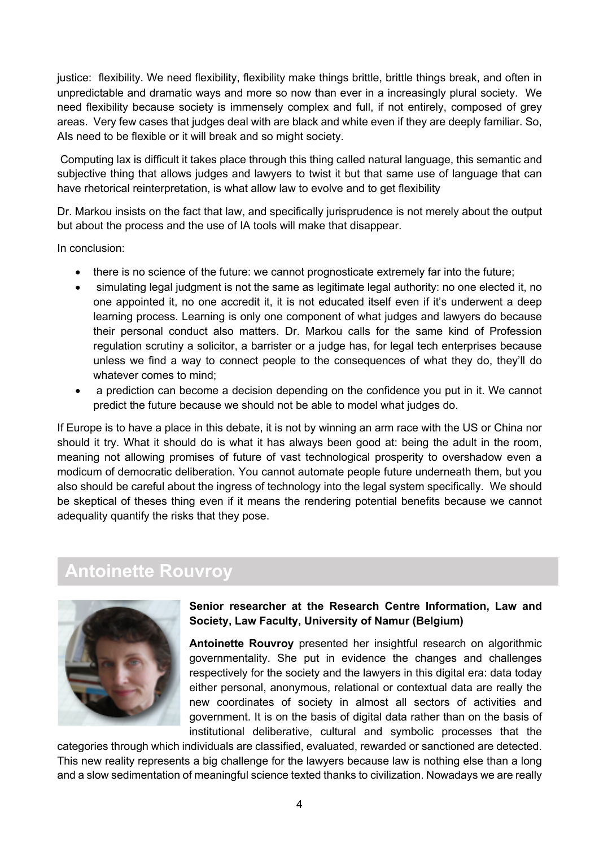justice: flexibility. We need flexibility, flexibility make things brittle, brittle things break, and often in unpredictable and dramatic ways and more so now than ever in a increasingly plural society. We need flexibility because society is immensely complex and full, if not entirely, composed of grey areas. Very few cases that judges deal with are black and white even if they are deeply familiar. So, AIs need to be flexible or it will break and so might society.

Computing lax is difficult it takes place through this thing called natural language, this semantic and subjective thing that allows judges and lawyers to twist it but that same use of language that can have rhetorical reinterpretation, is what allow law to evolve and to get flexibility

Dr. Markou insists on the fact that law, and specifically jurisprudence is not merely about the output but about the process and the use of IA tools will make that disappear.

In conclusion:

- there is no science of the future: we cannot prognosticate extremely far into the future;
- simulating legal judgment is not the same as legitimate legal authority: no one elected it, no one appointed it, no one accredit it, it is not educated itself even if it's underwent a deep learning process. Learning is only one component of what judges and lawyers do because their personal conduct also matters. Dr. Markou calls for the same kind of Profession regulation scrutiny a solicitor, a barrister or a judge has, for legal tech enterprises because unless we find a way to connect people to the consequences of what they do, they'll do whatever comes to mind;
- a prediction can become a decision depending on the confidence you put in it. We cannot predict the future because we should not be able to model what judges do.

If Europe is to have a place in this debate, it is not by winning an arm race with the US or China nor should it try. What it should do is what it has always been good at: being the adult in the room, meaning not allowing promises of future of vast technological prosperity to overshadow even a modicum of democratic deliberation. You cannot automate people future underneath them, but you also should be careful about the ingress of technology into the legal system specifically. We should be skeptical of theses thing even if it means the rendering potential benefits because we cannot adequality quantify the risks that they pose.

# **Antoinette Rouvroy**



### **Senior researcher at the Research Centre Information, Law and Society, Law Faculty, University of Namur (Belgium)**

**Antoinette Rouvroy** presented her insightful research on algorithmic governmentality. She put in evidence the changes and challenges respectively for the society and the lawyers in this digital era: data today either personal, anonymous, relational or contextual data are really the new coordinates of society in almost all sectors of activities and government. It is on the basis of digital data rather than on the basis of institutional deliberative, cultural and symbolic processes that the

categories through which individuals are classified, evaluated, rewarded or sanctioned are detected. This new reality represents a big challenge for the lawyers because law is nothing else than a long and a slow sedimentation of meaningful science texted thanks to civilization. Nowadays we are really